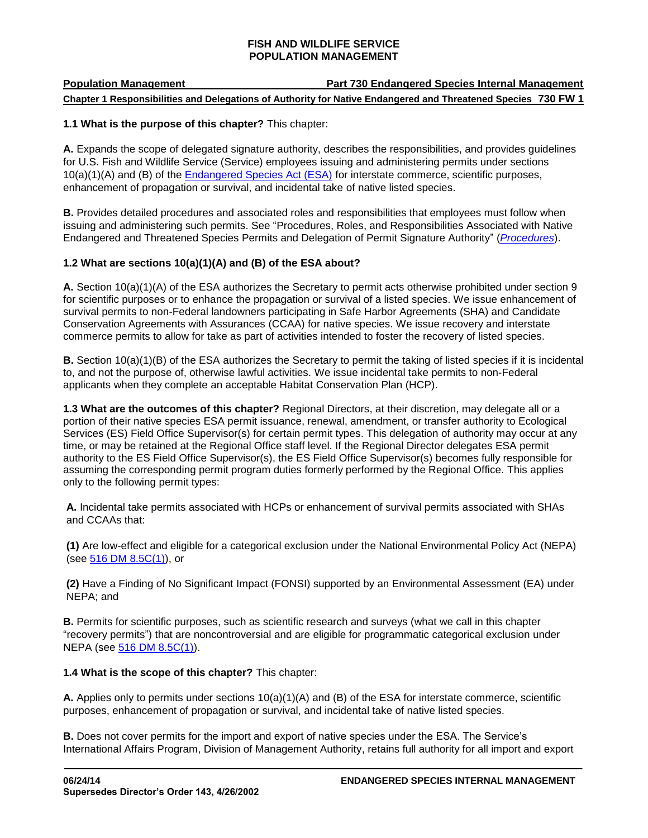# **Population Management Part 730 Endangered Species Internal Management Chapter 1 Responsibilities and Delegations of Authority for Native Endangered and Threatened Species 730 FW 1**

## **1.1 What is the purpose of this chapter?** This chapter:

**A.** Expands the scope of delegated signature authority, describes the responsibilities, and provides guidelines for U.S. Fish and Wildlife Service (Service) employees issuing and administering permits under sections 10(a)(1)(A) and (B) of the **Endangered Species Act (ESA)** for interstate commerce, scientific purposes, enhancement of propagation or survival, and incidental take of native listed species.

**B.** Provides detailed procedures and associated roles and responsibilities that employees must follow when issuing and administering such permits. See "Procedures, Roles, and Responsibilities Associated with Native Endangered and Threatened Species Permits and Delegation of Permit Signature Authority" (*[Procedures](http://www.fws.gov/policy/hbindex.cfm)*).

# **1.2 What are sections 10(a)(1)(A) and (B) of the ESA about?**

**A.** Section 10(a)(1)(A) of the ESA authorizes the Secretary to permit acts otherwise prohibited under section 9 for scientific purposes or to enhance the propagation or survival of a listed species. We issue enhancement of survival permits to non-Federal landowners participating in Safe Harbor Agreements (SHA) and Candidate Conservation Agreements with Assurances (CCAA) for native species. We issue recovery and interstate commerce permits to allow for take as part of activities intended to foster the recovery of listed species.

**B.** Section 10(a)(1)(B) of the ESA authorizes the Secretary to permit the taking of listed species if it is incidental to, and not the purpose of, otherwise lawful activities. We issue incidental take permits to non-Federal applicants when they complete an acceptable Habitat Conservation Plan (HCP).

**1.3 What are the outcomes of this chapter?** Regional Directors, at their discretion, may delegate all or a portion of their native species ESA permit issuance, renewal, amendment, or transfer authority to Ecological Services (ES) Field Office Supervisor(s) for certain permit types. This delegation of authority may occur at any time, or may be retained at the Regional Office staff level. If the Regional Director delegates ESA permit authority to the ES Field Office Supervisor(s), the ES Field Office Supervisor(s) becomes fully responsible for assuming the corresponding permit program duties formerly performed by the Regional Office. This applies only to the following permit types:

<span id="page-0-0"></span>**A.** Incidental take permits associated with HCPs or enhancement of survival permits associated with SHAs and CCAAs that:

**(1)** Are low-effect and eligible for a categorical exclusion under the National Environmental Policy Act (NEPA) (see [516 DM 8.5C\(1\)\)](http://elips.doi.gov/elips/browse.aspx), or

**(2)** Have a Finding of No Significant Impact (FONSI) supported by an Environmental Assessment (EA) under NEPA; and

**B.** Permits for scientific purposes, such as scientific research and surveys (what we call in this chapter "recovery permits") that are noncontroversial and are eligible for programmatic categorical exclusion under NEPA (see [516 DM 8.5C\(1\)\)](http://elips.doi.gov/elips/browse.aspx).

#### **1.4 What is the scope of this chapter?** This chapter:

**A.** Applies only to permits under sections 10(a)(1)(A) and (B) of the ESA for interstate commerce, scientific purposes, enhancement of propagation or survival, and incidental take of native listed species.

**B.** Does not cover permits for the import and export of native species under the ESA. The Service's International Affairs Program, Division of Management Authority, retains full authority for all import and export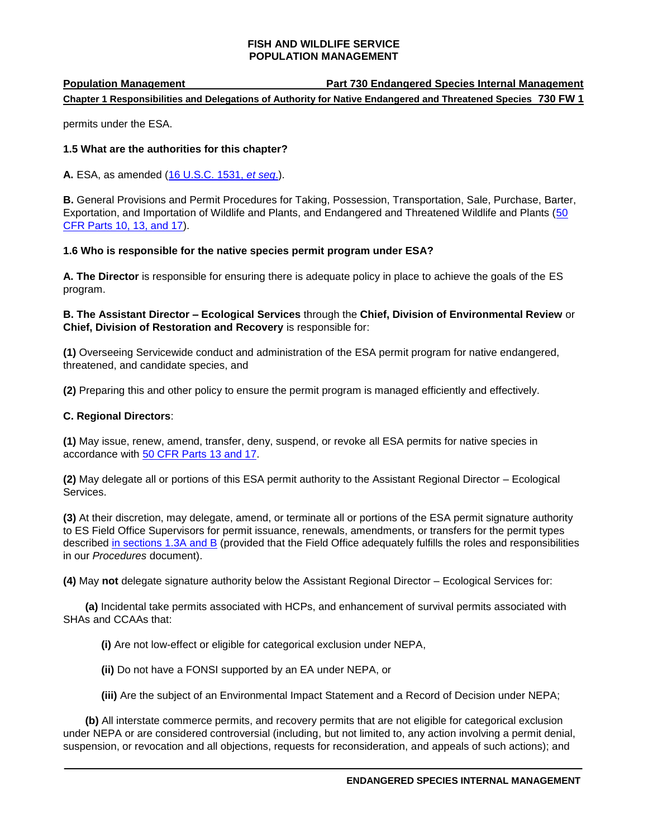# **Population Management Part 730 Endangered Species Internal Management Chapter 1 Responsibilities and Delegations of Authority for Native Endangered and Threatened Species 730 FW 1**

permits under the ESA.

# **1.5 What are the authorities for this chapter?**

**A.** ESA, as amended [\(16 U.S.C. 1531,](http://uscode.house.gov/search/criteria.shtml) *et seq*.).

**B.** General Provisions and Permit Procedures for Taking, Possession, Transportation, Sale, Purchase, Barter, Exportation, and Importation of Wildlife and Plants, and Endangered and Threatened Wildlife and Plants [\(50](http://www.ecfr.gov/)  [CFR Parts 10, 13, and 17\)](http://www.ecfr.gov/).

# **1.6 Who is responsible for the native species permit program under ESA?**

**A. The Director** is responsible for ensuring there is adequate policy in place to achieve the goals of the ES program.

**B. The Assistant Director – Ecological Services** through the **Chief, Division of Environmental Review** or **Chief, Division of Restoration and Recovery** is responsible for:

**(1)** Overseeing Servicewide conduct and administration of the ESA permit program for native endangered, threatened, and candidate species, and

**(2)** Preparing this and other policy to ensure the permit program is managed efficiently and effectively.

# **C. Regional Directors**:

**(1)** May issue, renew, amend, transfer, deny, suspend, or revoke all ESA permits for native species in accordance with [50 CFR Parts 13 and 17.](http://www.ecfr.gov/)

**(2)** May delegate all or portions of this ESA permit authority to the Assistant Regional Director – Ecological Services.

**(3)** At their discretion, may delegate, amend, or terminate all or portions of the ESA permit signature authority to ES Field Office Supervisors for permit issuance, renewals, amendments, or transfers for the permit types described [in sections 1.3A and B](#page-0-0) (provided that the Field Office adequately fulfills the roles and responsibilities in our *Procedures* document).

**(4)** May **not** delegate signature authority below the Assistant Regional Director – Ecological Services for:

**(a)** Incidental take permits associated with HCPs, and enhancement of survival permits associated with SHAs and CCAAs that:

**(i)** Are not low-effect or eligible for categorical exclusion under NEPA,

**(ii)** Do not have a FONSI supported by an EA under NEPA, or

**(iii)** Are the subject of an Environmental Impact Statement and a Record of Decision under NEPA;

**(b)** All interstate commerce permits, and recovery permits that are not eligible for categorical exclusion under NEPA or are considered controversial (including, but not limited to, any action involving a permit denial, suspension, or revocation and all objections, requests for reconsideration, and appeals of such actions); and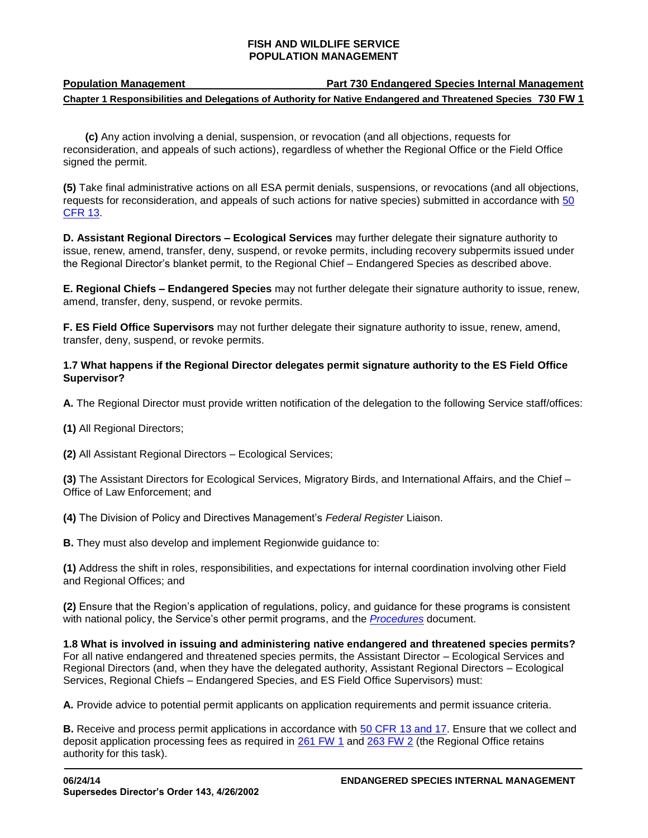| <b>Population Management</b> | <b>Part 730 Endangered Species Internal Management</b>                                                        |
|------------------------------|---------------------------------------------------------------------------------------------------------------|
|                              | Chapter 1 Responsibilities and Delegations of Authority for Native Endangered and Threatened Species 730 FW 1 |

**(c)** Any action involving a denial, suspension, or revocation (and all objections, requests for reconsideration, and appeals of such actions), regardless of whether the Regional Office or the Field Office signed the permit.

**(5)** Take final administrative actions on all ESA permit denials, suspensions, or revocations (and all objections, requests for reconsideration, and appeals of such actions for native species) submitted in accordance with [50](http://www.ecfr.gov/)  [CFR 13.](http://www.ecfr.gov/)

**D. Assistant Regional Directors – Ecological Services** may further delegate their signature authority to issue, renew, amend, transfer, deny, suspend, or revoke permits, including recovery subpermits issued under the Regional Director's blanket permit, to the Regional Chief – Endangered Species as described above.

**E. Regional Chiefs – Endangered Species** may not further delegate their signature authority to issue, renew, amend, transfer, deny, suspend, or revoke permits.

**F. ES Field Office Supervisors** may not further delegate their signature authority to issue, renew, amend, transfer, deny, suspend, or revoke permits.

# **1.7 What happens if the Regional Director delegates permit signature authority to the ES Field Office Supervisor?**

**A.** The Regional Director must provide written notification of the delegation to the following Service staff/offices:

**(1)** All Regional Directors;

**(2)** All Assistant Regional Directors – Ecological Services;

**(3)** The Assistant Directors for Ecological Services, Migratory Birds, and International Affairs, and the Chief – Office of Law Enforcement; and

**(4)** The Division of Policy and Directives Management's *Federal Register* Liaison.

**B.** They must also develop and implement Regionwide guidance to:

**(1)** Address the shift in roles, responsibilities, and expectations for internal coordination involving other Field and Regional Offices; and

**(2)** Ensure that the Region's application of regulations, policy, and guidance for these programs is consistent with national policy, the Service's other permit programs, and the *[Procedures](http://www.fws.gov/policy/hbindex.cfm)* document.

**1.8 What is involved in issuing and administering native endangered and threatened species permits?** For all native endangered and threatened species permits, the Assistant Director – Ecological Services and Regional Directors (and, when they have the delegated authority, Assistant Regional Directors – Ecological Services, Regional Chiefs – Endangered Species, and ES Field Office Supervisors) must:

**A.** Provide advice to potential permit applicants on application requirements and permit issuance criteria.

**B.** Receive and process permit applications in accordance with [50 CFR 13 and 17.](http://www.ecfr.gov/) Ensure that we collect and deposit application processing fees as required in [261 FW 1](http://www.fws.gov/policy/261fw1.html) and [263 FW 2](http://www.fws.gov/policy/263fw2.html) (the Regional Office retains authority for this task).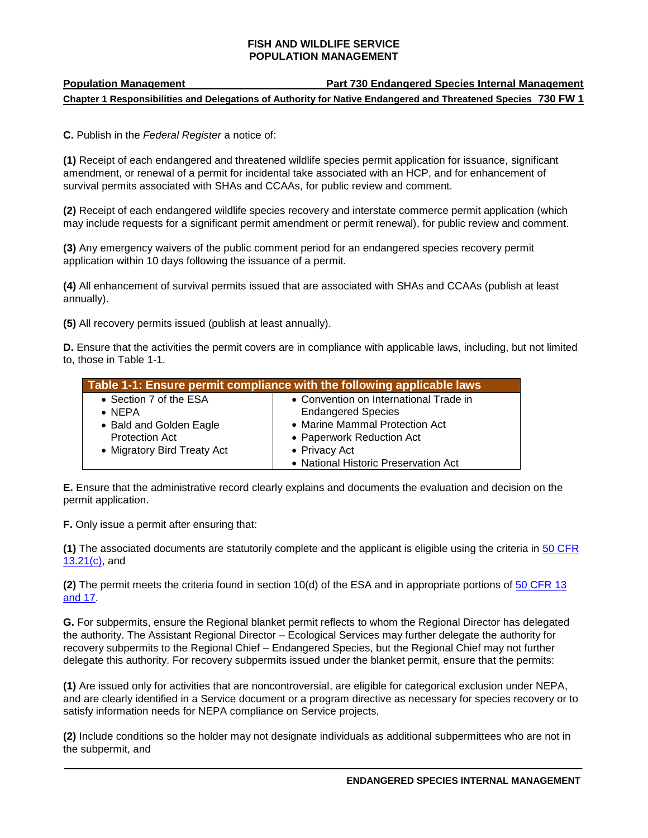# **Population Management Part 730 Endangered Species Internal Management Chapter 1 Responsibilities and Delegations of Authority for Native Endangered and Threatened Species 730 FW 1**

**C.** Publish in the *Federal Register* a notice of:

**(1)** Receipt of each endangered and threatened wildlife species permit application for issuance, significant amendment, or renewal of a permit for incidental take associated with an HCP, and for enhancement of survival permits associated with SHAs and CCAAs, for public review and comment.

**(2)** Receipt of each endangered wildlife species recovery and interstate commerce permit application (which may include requests for a significant permit amendment or permit renewal), for public review and comment.

**(3)** Any emergency waivers of the public comment period for an endangered species recovery permit application within 10 days following the issuance of a permit.

**(4)** All enhancement of survival permits issued that are associated with SHAs and CCAAs (publish at least annually).

**(5)** All recovery permits issued (publish at least annually).

**D.** Ensure that the activities the permit covers are in compliance with applicable laws, including, but not limited to, those in Table 1-1.

| Table 1-1: Ensure permit compliance with the following applicable laws |                                        |
|------------------------------------------------------------------------|----------------------------------------|
| • Section 7 of the ESA                                                 | • Convention on International Trade in |
| $\bullet$ NFPA                                                         | <b>Endangered Species</b>              |
| • Bald and Golden Eagle                                                | • Marine Mammal Protection Act         |
| <b>Protection Act</b>                                                  | • Paperwork Reduction Act              |
| • Migratory Bird Treaty Act                                            | • Privacy Act                          |
|                                                                        | • National Historic Preservation Act   |

**E.** Ensure that the administrative record clearly explains and documents the evaluation and decision on the permit application.

**F.** Only issue a permit after ensuring that:

**(1)** The associated documents are statutorily complete and the applicant is eligible using the criteria in [50 CFR](http://www.ecfr.gov/)  [13.21\(c\),](http://www.ecfr.gov/) and

**(2)** The permit meets the criteria found in section 10(d) of the ESA and in appropriate portions of [50 CFR 13](http://www.ecfr.gov/)  [and 17.](http://www.ecfr.gov/)

**G.** For subpermits, ensure the Regional blanket permit reflects to whom the Regional Director has delegated the authority. The Assistant Regional Director – Ecological Services may further delegate the authority for recovery subpermits to the Regional Chief – Endangered Species, but the Regional Chief may not further delegate this authority. For recovery subpermits issued under the blanket permit, ensure that the permits:

**(1)** Are issued only for activities that are noncontroversial, are eligible for categorical exclusion under NEPA, and are clearly identified in a Service document or a program directive as necessary for species recovery or to satisfy information needs for NEPA compliance on Service projects,

**(2)** Include conditions so the holder may not designate individuals as additional subpermittees who are not in the subpermit, and